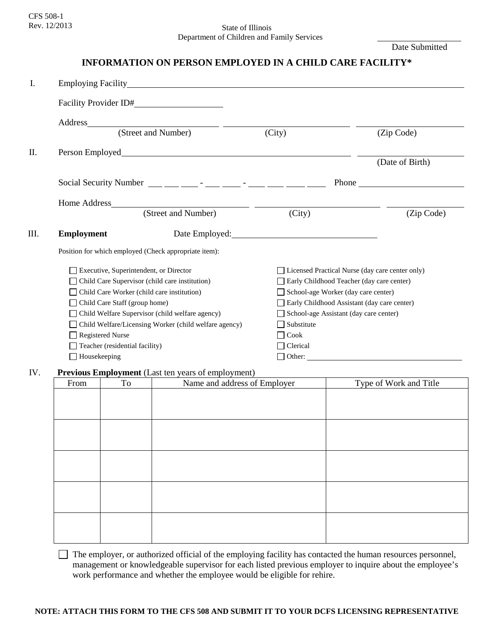# Rev. 12/2013 State of Illinois Department of Children and Family Services

Date Submitted

# **INFORMATION ON PERSON EMPLOYED IN A CHILD CARE FACILITY\***

| I.   | Employing Facility experience of the state of the state of the state of the state of the state of the state of the state of the state of the state of the state of the state of the state of the state of the state of the sta                                                                                                                                                                     |                                                                                                                                                                                                                               |                                                                          |  |  |
|------|----------------------------------------------------------------------------------------------------------------------------------------------------------------------------------------------------------------------------------------------------------------------------------------------------------------------------------------------------------------------------------------------------|-------------------------------------------------------------------------------------------------------------------------------------------------------------------------------------------------------------------------------|--------------------------------------------------------------------------|--|--|
|      |                                                                                                                                                                                                                                                                                                                                                                                                    |                                                                                                                                                                                                                               |                                                                          |  |  |
|      |                                                                                                                                                                                                                                                                                                                                                                                                    |                                                                                                                                                                                                                               |                                                                          |  |  |
|      |                                                                                                                                                                                                                                                                                                                                                                                                    | (City)                                                                                                                                                                                                                        | (Zip Code)                                                               |  |  |
| Π.   |                                                                                                                                                                                                                                                                                                                                                                                                    |                                                                                                                                                                                                                               |                                                                          |  |  |
|      |                                                                                                                                                                                                                                                                                                                                                                                                    |                                                                                                                                                                                                                               | (Date of Birth)                                                          |  |  |
|      | Social Security Number $\frac{1}{\frac{1}{2}} \frac{1}{\frac{1}{2}} \frac{1}{\frac{1}{2}} \frac{1}{\frac{1}{2}} \frac{1}{\frac{1}{2}} \frac{1}{\frac{1}{2}} \frac{1}{\frac{1}{2}} \frac{1}{\frac{1}{2}} \frac{1}{\frac{1}{2}} \frac{1}{\frac{1}{2}} \frac{1}{\frac{1}{2}} \frac{1}{\frac{1}{2}} \frac{1}{\frac{1}{2}} \frac{1}{\frac{1}{2}} \frac{1}{\frac{1}{2}} \frac{1}{\frac{1}{2}} \frac{1}{$ |                                                                                                                                                                                                                               | Phone <u>that the same state of the same</u>                             |  |  |
|      | Home Address                                                                                                                                                                                                                                                                                                                                                                                       |                                                                                                                                                                                                                               |                                                                          |  |  |
|      | (Street and Number)                                                                                                                                                                                                                                                                                                                                                                                | (City)                                                                                                                                                                                                                        | (Zip Code)                                                               |  |  |
| III. | <b>Employment</b>                                                                                                                                                                                                                                                                                                                                                                                  | Date Employed: 2000 and 2000 and 2000 and 2000 and 2000 and 2000 and 2000 and 2000 and 2000 and 2000 and 2000 and 2000 and 2000 and 2000 and 2000 and 2000 and 2000 and 2000 and 2000 and 2000 and 2000 and 2000 and 2000 and |                                                                          |  |  |
|      | Position for which employed (Check appropriate item):                                                                                                                                                                                                                                                                                                                                              |                                                                                                                                                                                                                               |                                                                          |  |  |
|      | Executive, Superintendent, or Director                                                                                                                                                                                                                                                                                                                                                             |                                                                                                                                                                                                                               | Licensed Practical Nurse (day care center only)                          |  |  |
|      | Child Care Supervisor (child care institution)                                                                                                                                                                                                                                                                                                                                                     |                                                                                                                                                                                                                               | Early Childhood Teacher (day care center)                                |  |  |
|      | Child Care Worker (child care institution)                                                                                                                                                                                                                                                                                                                                                         |                                                                                                                                                                                                                               | School-age Worker (day care center)                                      |  |  |
|      | Child Care Staff (group home)                                                                                                                                                                                                                                                                                                                                                                      |                                                                                                                                                                                                                               | Early Childhood Assistant (day care center)                              |  |  |
|      | Child Welfare Supervisor (child welfare agency)                                                                                                                                                                                                                                                                                                                                                    |                                                                                                                                                                                                                               | School-age Assistant (day care center)<br>Substitute<br>Cook<br>Clerical |  |  |
|      | Child Welfare/Licensing Worker (child welfare agency)                                                                                                                                                                                                                                                                                                                                              |                                                                                                                                                                                                                               |                                                                          |  |  |
|      | <b>Registered Nurse</b>                                                                                                                                                                                                                                                                                                                                                                            |                                                                                                                                                                                                                               |                                                                          |  |  |
|      | Teacher (residential facility)                                                                                                                                                                                                                                                                                                                                                                     |                                                                                                                                                                                                                               |                                                                          |  |  |
|      | Housekeeping                                                                                                                                                                                                                                                                                                                                                                                       |                                                                                                                                                                                                                               | Other:                                                                   |  |  |
| IV.  | <b>Previous Employment</b> (Last ten years of employment)                                                                                                                                                                                                                                                                                                                                          |                                                                                                                                                                                                                               |                                                                          |  |  |
|      | To Same and address of Employer<br>$F_{\rm r\alpha m}$                                                                                                                                                                                                                                                                                                                                             |                                                                                                                                                                                                                               | Type of Work and Title                                                   |  |  |

# From To Name and address of Employer Type of Work and Title

 The employer, or authorized official of the employing facility has contacted the human resources personnel, management or knowledgeable supervisor for each listed previous employer to inquire about the employee's work performance and whether the employee would be eligible for rehire.